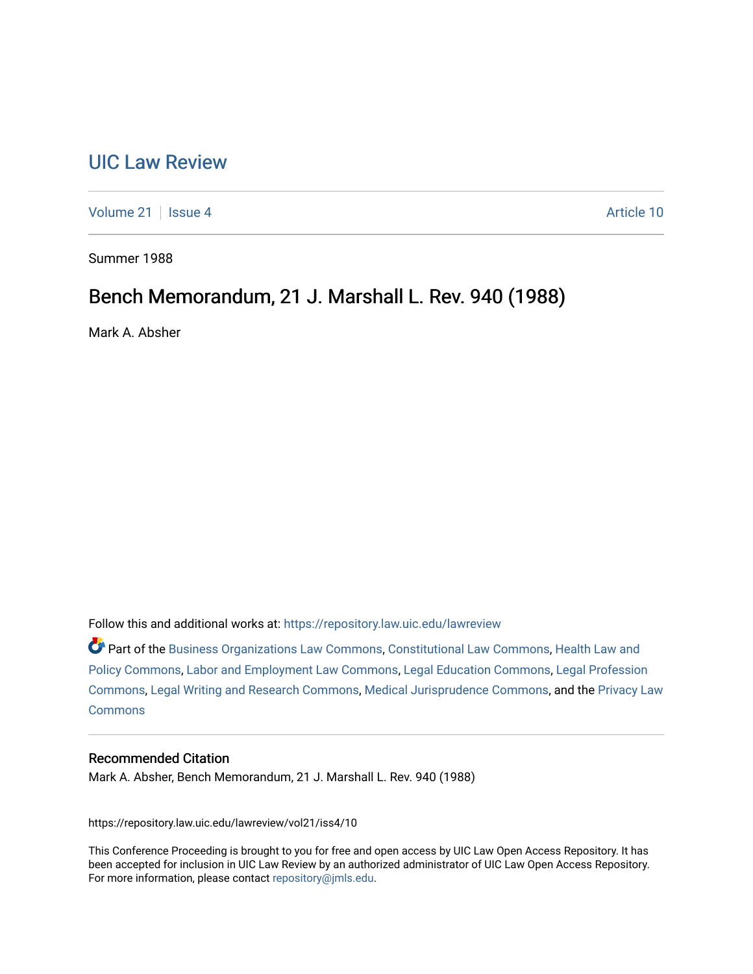# [UIC Law Review](https://repository.law.uic.edu/lawreview)

[Volume 21](https://repository.law.uic.edu/lawreview/vol21) | [Issue 4](https://repository.law.uic.edu/lawreview/vol21/iss4) Article 10

Summer 1988

## Bench Memorandum, 21 J. Marshall L. Rev. 940 (1988)

Mark A. Absher

Follow this and additional works at: [https://repository.law.uic.edu/lawreview](https://repository.law.uic.edu/lawreview?utm_source=repository.law.uic.edu%2Flawreview%2Fvol21%2Fiss4%2F10&utm_medium=PDF&utm_campaign=PDFCoverPages) 

Part of the [Business Organizations Law Commons](http://network.bepress.com/hgg/discipline/900?utm_source=repository.law.uic.edu%2Flawreview%2Fvol21%2Fiss4%2F10&utm_medium=PDF&utm_campaign=PDFCoverPages), [Constitutional Law Commons](http://network.bepress.com/hgg/discipline/589?utm_source=repository.law.uic.edu%2Flawreview%2Fvol21%2Fiss4%2F10&utm_medium=PDF&utm_campaign=PDFCoverPages), Health Law and [Policy Commons](http://network.bepress.com/hgg/discipline/901?utm_source=repository.law.uic.edu%2Flawreview%2Fvol21%2Fiss4%2F10&utm_medium=PDF&utm_campaign=PDFCoverPages), [Labor and Employment Law Commons,](http://network.bepress.com/hgg/discipline/909?utm_source=repository.law.uic.edu%2Flawreview%2Fvol21%2Fiss4%2F10&utm_medium=PDF&utm_campaign=PDFCoverPages) [Legal Education Commons,](http://network.bepress.com/hgg/discipline/857?utm_source=repository.law.uic.edu%2Flawreview%2Fvol21%2Fiss4%2F10&utm_medium=PDF&utm_campaign=PDFCoverPages) [Legal Profession](http://network.bepress.com/hgg/discipline/1075?utm_source=repository.law.uic.edu%2Flawreview%2Fvol21%2Fiss4%2F10&utm_medium=PDF&utm_campaign=PDFCoverPages)  [Commons](http://network.bepress.com/hgg/discipline/1075?utm_source=repository.law.uic.edu%2Flawreview%2Fvol21%2Fiss4%2F10&utm_medium=PDF&utm_campaign=PDFCoverPages), [Legal Writing and Research Commons](http://network.bepress.com/hgg/discipline/614?utm_source=repository.law.uic.edu%2Flawreview%2Fvol21%2Fiss4%2F10&utm_medium=PDF&utm_campaign=PDFCoverPages), [Medical Jurisprudence Commons](http://network.bepress.com/hgg/discipline/860?utm_source=repository.law.uic.edu%2Flawreview%2Fvol21%2Fiss4%2F10&utm_medium=PDF&utm_campaign=PDFCoverPages), and the [Privacy Law](http://network.bepress.com/hgg/discipline/1234?utm_source=repository.law.uic.edu%2Flawreview%2Fvol21%2Fiss4%2F10&utm_medium=PDF&utm_campaign=PDFCoverPages) **[Commons](http://network.bepress.com/hgg/discipline/1234?utm_source=repository.law.uic.edu%2Flawreview%2Fvol21%2Fiss4%2F10&utm_medium=PDF&utm_campaign=PDFCoverPages)** 

## Recommended Citation

Mark A. Absher, Bench Memorandum, 21 J. Marshall L. Rev. 940 (1988)

https://repository.law.uic.edu/lawreview/vol21/iss4/10

This Conference Proceeding is brought to you for free and open access by UIC Law Open Access Repository. It has been accepted for inclusion in UIC Law Review by an authorized administrator of UIC Law Open Access Repository. For more information, please contact [repository@jmls.edu](mailto:repository@jmls.edu).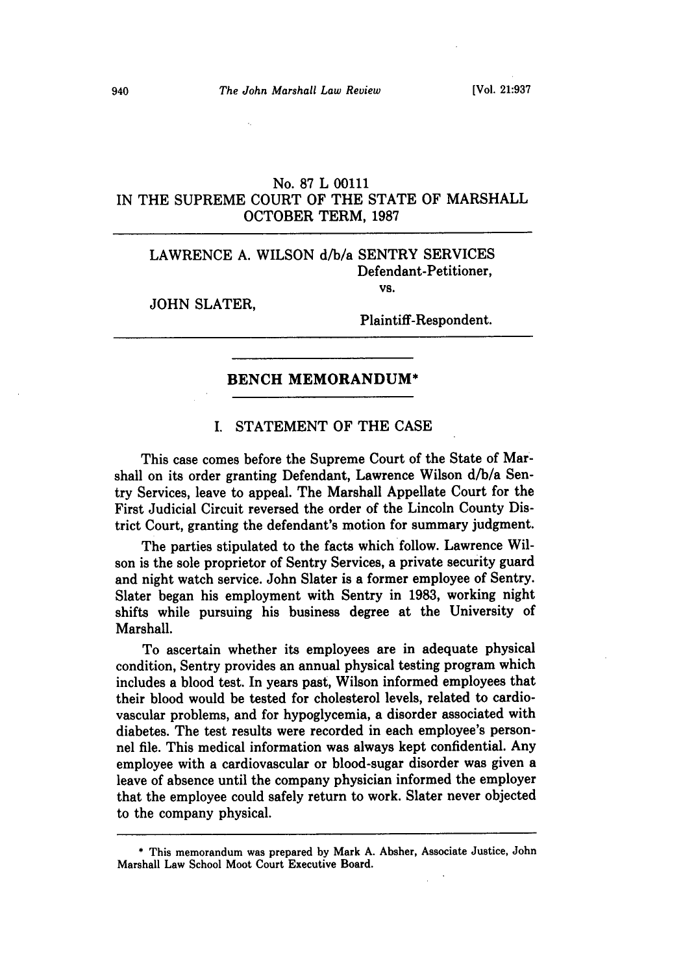## No. 87 L 00111 IN THE SUPREME COURT OF THE STATE OF MARSHALL OCTOBER TERM, **1987**

## LAWRENCE A. WILSON d/b/a SENTRY SERVICES Defendant-Petitioner,

JOHN SLATER,

Plaintiff-Respondent.

VS.

#### **BENCH MEMORANDUM\***

## I. STATEMENT OF THE CASE

This case comes before the Supreme Court of the State of Marshall on its order granting Defendant, Lawrence Wilson d/b/a Sentry Services, leave to appeal. The Marshall Appellate Court for the First Judicial Circuit reversed the order of the Lincoln County District Court, granting the defendant's motion for summary judgment.

The parties stipulated to the facts which follow. Lawrence Wilson is the sole proprietor of Sentry Services, a private security guard and night watch service. John Slater is a former employee of Sentry. Slater began his employment with Sentry in **1983,** working night shifts while pursuing his business degree at the University of Marshall.

To ascertain whether its employees are in adequate physical condition, Sentry provides an annual physical testing program which includes a blood test. In years past, Wilson informed employees that their blood would be tested for cholesterol levels, related to cardiovascular problems, and for hypoglycemia, a disorder associated with diabetes. The test results were recorded in each employee's personnel file. This medical information was always kept confidential. Any employee with a cardiovascular or blood-sugar disorder was given a leave of absence until the company physician informed the employer that the employee could safely return to work. Slater never objected to the company physical.

**<sup>\*</sup>** This memorandum was prepared by Mark A. Absher, Associate Justice, John Marshall Law School Moot Court Executive Board.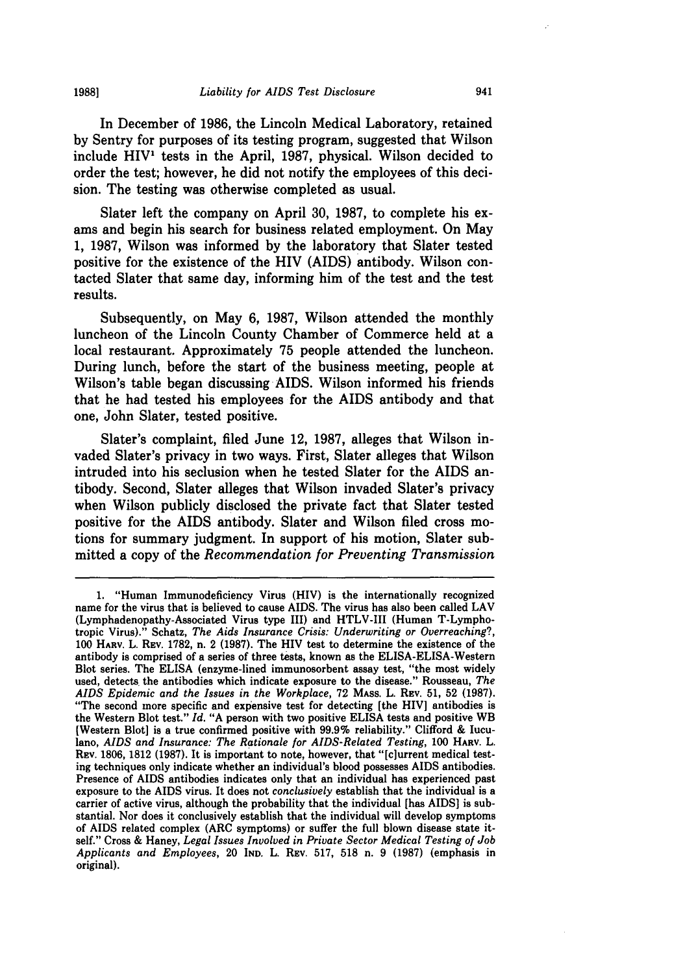In December of **1986,** the Lincoln Medical Laboratory, retained **by** Sentry for purposes of its testing program, suggested that Wilson include HIV<sup>1</sup> tests in the April, 1987, physical. Wilson decided to order the test; however, he did not notify the employees of this deci-

sion. The testing was otherwise completed as usual.

Slater left the company on April **30, 1987,** to complete his ex**ams** and begin his search for business related employment. On May **1, 1987,** Wilson was informed **by** the laboratory that Slater tested positive for the existence of the HIV (AIDS) antibody. Wilson contacted Slater that same day, informing him of the test and the test results.

Subsequently, on May **6, 1987,** Wilson attended the monthly luncheon of the Lincoln County Chamber of Commerce held at a local restaurant. Approximately **75** people attended the luncheon. During lunch, before the start of the business meeting, people at Wilson's table began discussing AIDS. Wilson informed his friends that he had tested his employees for the **AIDS** antibody and that one, John Slater, tested positive.

Slater's complaint, filed June 12, **1987,** alleges that Wilson invaded Slater's privacy in two ways. First, Slater alleges that Wilson intruded into his seclusion when he tested Slater for the AIDS antibody. Second, Slater alleges that Wilson invaded Slater's privacy when Wilson publicly disclosed the private fact that Slater tested positive for the AIDS antibody. Slater and Wilson filed cross motions for summary judgment. In support of his motion, Slater submitted a copy of the *Recommendation for Preventing Transmission*

**19881**

**<sup>1.</sup>** "Human Immunodeficiency Virus (HIV) is the internationally recognized name for the virus that is believed to cause AIDS. The virus has also been called LAV (Lymphadenopathy-Associated Virus type III) and HTLV-III (Human T-Lymphotropic Virus)." Schatz, *The Aids Insurance Crisis: Underwriting or Overreaching?,* **100** HARV. L. REV. **1782,** n. 2 **(1987).** The HIV test to determine the existence of the antibody is comprised of a series of three tests, known as the ELISA-ELISA-Western Blot series. The **ELISA** (enzyme-lined immunosorbent assay test, "the most widely used, detects the antibodies which indicate exposure to the disease." Rousseau, *The AIDS Epidemic and the Issues in the Workplace,* **72** MAss. L. REV. **51, 52 (1987).** "The second more specific and expensive test for detecting [the HIVI antibodies is the Western Blot test." *Id.* **"A** person with two positive ELISA tests and positive WB [Western Blot] is a true confirmed positive with **99.9%** reliability." Clifford **&** Iuculano, *AIDS and Insurance: The Rationale for AIDS-Related Testing,* **100** HARv. L. REV. **1806, 1812 (1987).** It is important to note, however, that "[c]urrent medical testing techniques only indicate whether an individual's blood possesses **AIDS** antibodies. Presence of AIDS antibodies indicates only that an individual has experienced past exposure to the AIDS virus. It does not *conclusively* establish that the individual is a carrier of active virus, although the probability that the individual [has **AIDS]** is substantial. Nor does it conclusively establish that the individual will develop symptoms of AIDS related complex (ARC symptoms) or suffer the full blown disease state itself." Cross **&** Haney, *Legal Issues Involved in Private Sector Medical Testing of Job Applicants and Employees,* 20 **IND.** L. REV. **517, 518** n. **9 (1987)** (emphasis in original).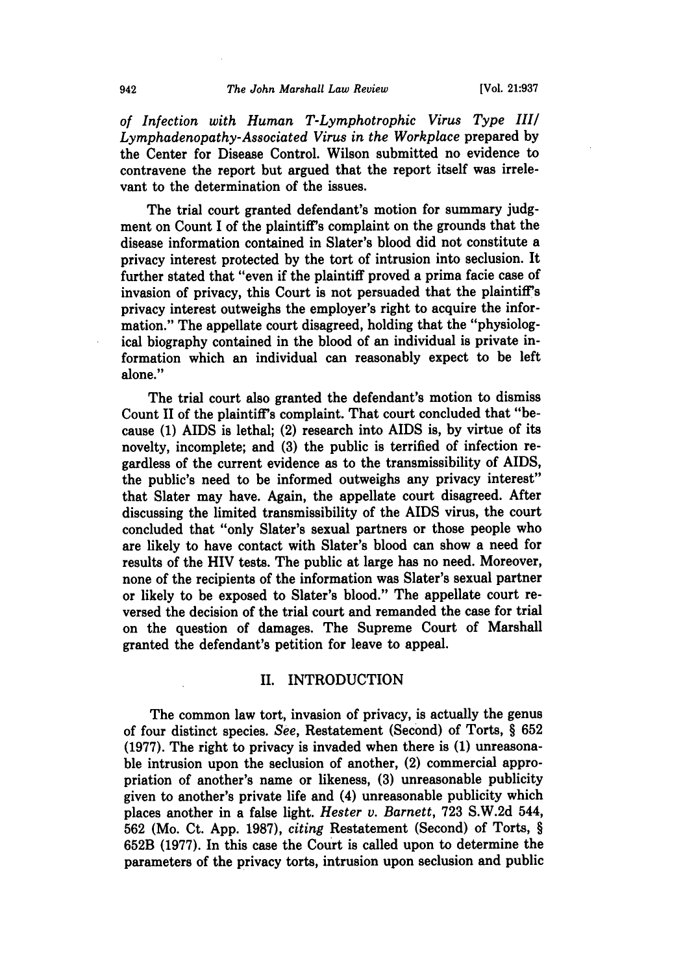*of Infection with Human T-Lymphotrophic Virus Type III/ Lymphadenopathy-Associated Virus in the Workplace* prepared by the Center for Disease Control. Wilson submitted no evidence to contravene the report but argued that the report itself was irrelevant to the determination of the issues.

The trial court granted defendant's motion for summary judgment on Count I of the plaintiff's complaint on the grounds that the disease information contained in Slater's blood did not constitute a privacy interest protected by the tort of intrusion into seclusion. It further stated that "even if the plaintiff proved a prima facie case of invasion of privacy, this Court is not persuaded that the plaintiff's privacy interest outweighs the employer's right to acquire the information." The appellate court disagreed, holding that the "physiological biography contained in the blood of an individual is private information which an individual can reasonably expect to be left alone."

The trial court also granted the defendant's motion to dismiss Count II of the plaintiff's complaint. That court concluded that "because **(1)** AIDS is lethal; (2) research into AIDS is, **by** virtue of its novelty, incomplete; and **(3)** the public is terrified of infection regardless of the current evidence as to the transmissibility of AIDS, the public's need to be informed outweighs any privacy interest" that Slater may have. Again, the appellate court disagreed. After discussing the limited transmissibility of the AIDS virus, the court concluded that "only Slater's sexual partners or those people who are likely to have contact with Slater's blood can show a need for results of the HIV tests. The public at large has no need. Moreover, none of the recipients of the information was Slater's sexual partner or likely to be exposed to Slater's blood." The appellate court reversed the decision of the trial court and remanded the case for trial on the question of damages. The Supreme Court of Marshall granted the defendant's petition for leave to appeal.

#### II. **INTRODUCTION**

The common law tort, invasion of privacy, is actually the genus of four distinct species. *See,* Restatement (Second) of Torts, § **652 (1977).** The right to privacy is invaded when there is **(1)** unreasonable intrusion upon the seclusion of another, (2) commercial appropriation of another's name or likeness, **(3)** unreasonable publicity given to another's private life and (4) unreasonable publicity which places another in a false light. *Hester v. Barnett,* **723 S.W.2d** 544, **562** (Mo. Ct. **App. 1987),** *citing* Restatement (Second) of Torts, § **652B (1977).** In this case the Court is called upon to determine the parameters of the privacy torts, intrusion upon seclusion and public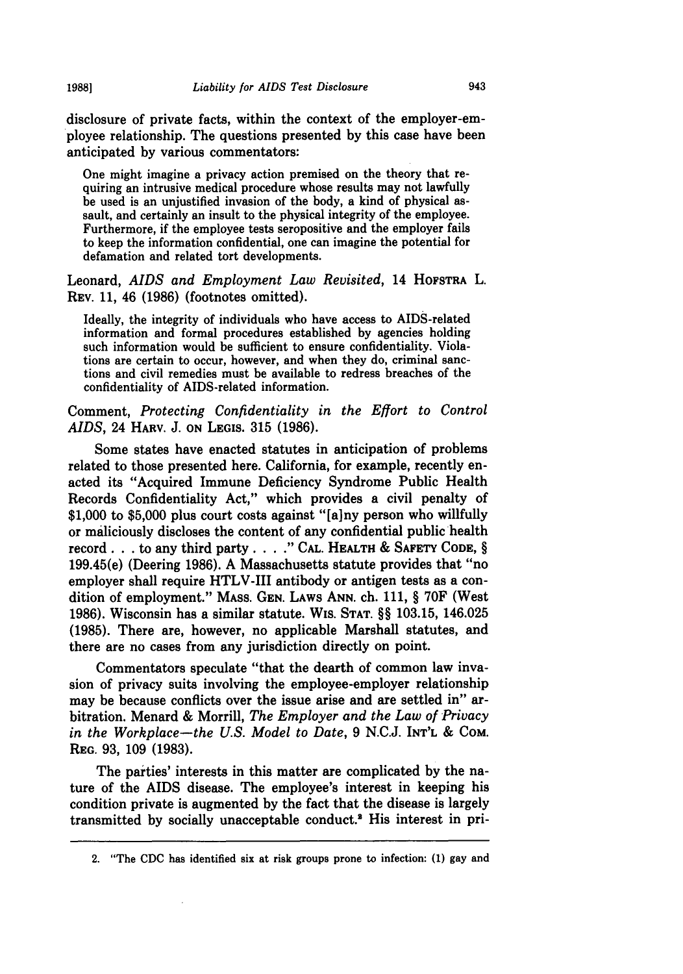disclosure of private facts, within the context of the employer-employee relationship. The questions presented by this case have been anticipated by various commentators:

One might imagine a privacy action premised on the theory that requiring an intrusive medical procedure whose results may not lawfully be used is an unjustified invasion of the body, a kind of physical assault, and certainly an insult to the physical integrity of the employee. Furthermore, if the employee tests seropositive and the employer fails to keep the information confidential, one can imagine the potential for defamation and related tort developments.

Leonard, *AIDS and Employment Law Revisited,* 14 **HOFSTRA** L. REV. 11, 46 (1986) (footnotes omitted).

Ideally, the integrity of individuals who have access to AIDS-related information and formal procedures established by agencies holding such information would be sufficient to ensure confidentiality. Violations are certain to occur, however, and when they do, criminal sanctions and civil remedies must be available to redress breaches of the confidentiality of AIDS-related information.

Comment, *Protecting Confidentiality in the Effort to Control AIDS,* 24 HARV. J. **ON LEGIS.** 315 (1986).

Some states have enacted statutes in anticipation of problems related to those presented here. California, for example, recently enacted its "Acquired Immune Deficiency Syndrome Public Health Records Confidentiality Act," which provides a civil penalty of \$1,000 to \$5,000 plus court costs against "[a]ny person who willfully or maliciously discloses the content of any confidential public health record. **. .** to any third party. . . **." CAL.** HEALTH & SAFETY **CODE,** § 199.45(e) (Deering **1986).** A Massachusetts statute provides that "no employer shall require HTLV-III antibody or antigen tests as a condition of employment." MASS. GEN. LAWS **ANN.** ch. 111, § **70F** (West **1986).** Wisconsin has a similar statute. WiS. **STAT.** §§ 103.15, 146.025 **(1985).** There are, however, no applicable Marshall statutes, and there are no cases from any jurisdiction directly on point.

Commentators speculate "that the dearth of common law invasion of privacy suits involving the employee-employer relationship may be because conflicts over the issue arise and are settled in" arbitration. Menard & Morrill, *The Employer and the Law of Privacy in the Workplace-the U.S. Model to Date,* **9** N.C.J. INT'L & COM. **REG. 93, 109 (1983).**

The parties' interests in this matter are complicated by the nature of the AIDS disease. The employee's interest in keeping his condition private is augmented by the fact that the disease is largely transmitted by socially unacceptable conduct.2 His interest in pri-

**1988]**

<sup>2. &</sup>quot;The CDC has identified six at risk groups prone to infection: **(1)** gay and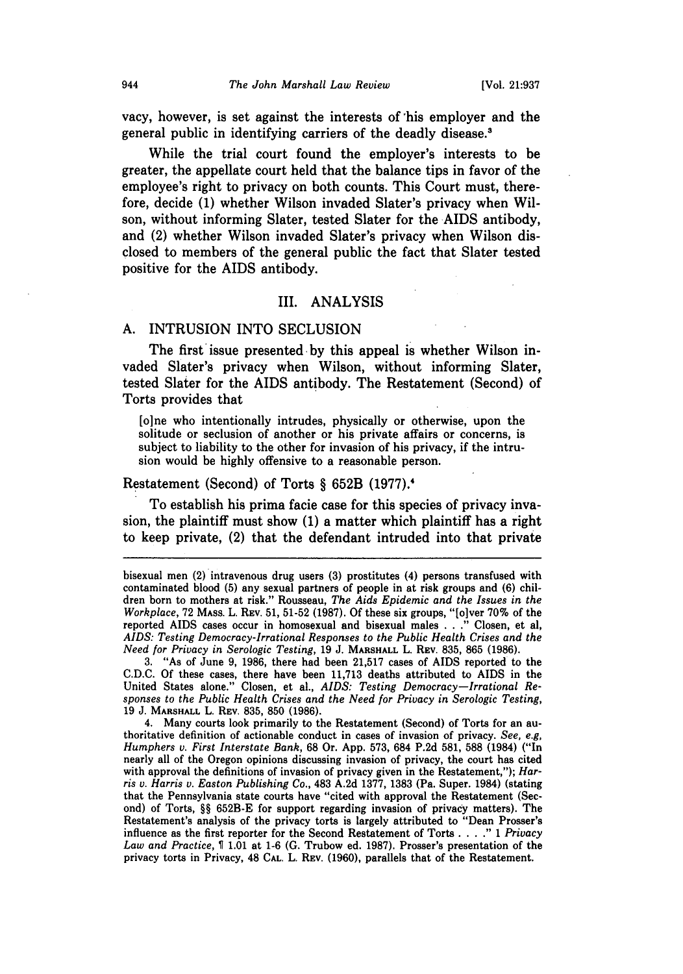vacy, however, is set against the interests of 'his employer and the general public in identifying carriers of the deadly disease.'

While the trial court found the employer's interests to be greater, the appellate court held that the balance tips in favor of the employee's right to privacy on both counts. This Court must, therefore, decide (1) whether Wilson invaded Slater's privacy when Wilson, without informing Slater, tested Slater for the AIDS antibody, and (2) whether Wilson invaded Slater's privacy when Wilson disclosed to members of the general public the fact that Slater tested positive for the AIDS antibody.

#### III. **ANALYSIS**

#### A. INTRUSION INTO SECLUSION

The first issue presented by this appeal is whether Wilson invaded Slater's privacy when Wilson, without informing Slater, tested Slater for the AIDS antibody. The Restatement (Second) of Torts provides that

[o]ne who intentionally intrudes, physically or otherwise, upon the solitude or seclusion of another or his private affairs or concerns, is subject to liability to the other for invasion of his privacy, if the intrusion would be highly offensive to a reasonable person.

#### Restatement (Second) of Torts § 652B (1977).<sup>4</sup>

To establish his prima facie case for this species of privacy invasion, the plaintiff must show (1) a matter which plaintiff has a right to keep private, (2) that the defendant intruded into that private

3. "As of June 9, 1986, there had been 21,517 cases of AIDS reported to the C.D.C. Of these cases, there have been 11,713 deaths attributed to AIDS in the United States alone." Closen, et al., *AIDS: Testing Democracy-Irrational Responses to the Public Health Crises and the Need for Privacy in Serologic Testing,* 19 J. MARSHALL L. REV. 835, 850 (1986).

4. Many courts look primarily to the Restatement (Second) of Torts for an au- thoritative definition of actionable conduct in cases of invasion of privacy. *See, e.g, Humphers v. First Interstate Bank,* 68 Or. App. 573, 684 P.2d 581, 588 (1984) ("In nearly all of the Oregon opinions discussing invasion of privacy, the court has cited with approval the definitions of invasion of privacy given in the Restatement,"); *Harris v. Harris v. Easton Publishing Co.,* 483 A.2d 1377, 1383 (Pa. Super. 1984) (stating that the Pennsylvania state courts have "cited with approval the Restatement (Second) of Torts, §§ 652B-E for support regarding invasion of privacy matters). The Restatement's analysis of the privacy torts is largely attributed to "Dean Prosser's influence as the first reporter for the Second Restatement of Torts **.... "** 1 *Privacy Law and Practice,* T 1.01 at 1-6 (G. Trubow ed. 1987). Prosser's presentation of the privacy torts in Privacy, 48 **CAL.** L. REV. (1960), parallels that of the Restatement.

bisexual men (2) intravenous drug users **(3)** prostitutes (4) persons transfused with contaminated blood **(5)** any sexual partners of people in at risk groups and **(6)** children born to mothers at risk." Rousseau, *The Aids Epidemic and the Issues in the Workplace,* **72 MASS.** L. **REV. 51, 51-52 (1987). Of** these six groups, "[olver **70%** of the reported AIDS cases occur in homosexual and bisexual males **. . ."** Closen, et al, *AIDS: Testing Democracy-Irrational Responses to the Public Health Crises and the Need for Privacy in Serologic Testing,* 19 J. MARSHALL L. REV. 835, 865 (1986).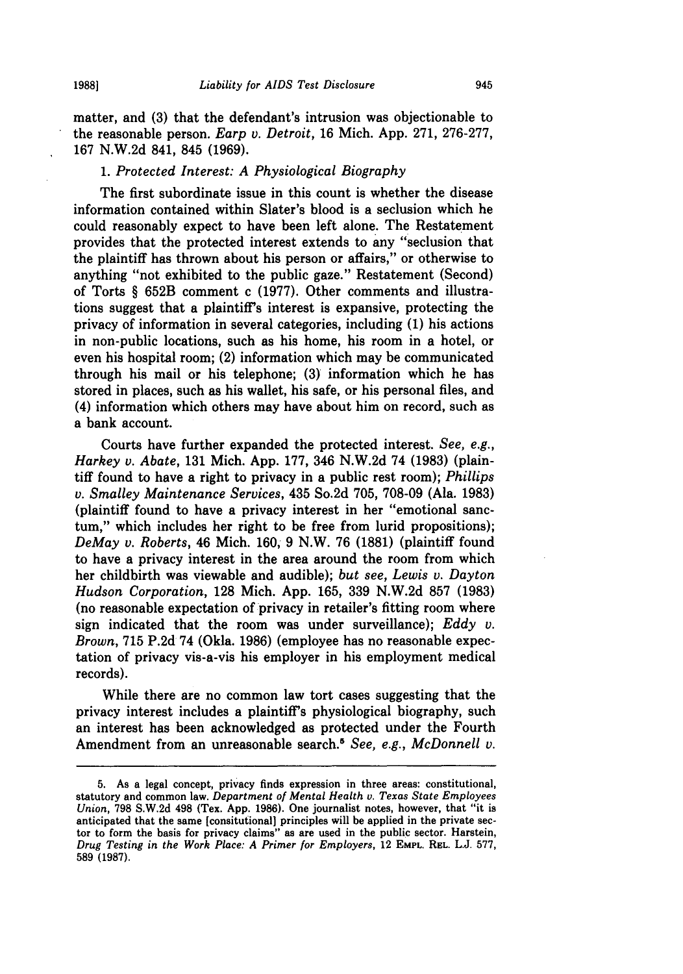**19881**

matter, and **(3)** that the defendant's intrusion was objectionable to the reasonable person. *Earp v. Detroit,* 16 Mich. App. 271, 276-277, 167 N.W.2d 841, 845 (1969).

#### *1. Protected Interest: A Physiological Biography*

The first subordinate issue in this count is whether the disease information contained within Slater's blood is a seclusion which he could reasonably expect to have been left alone. The Restatement provides that the protected interest extends to any "seclusion that the plaintiff has thrown about his person or affairs," or otherwise to anything "not exhibited to the public gaze." Restatement (Second) of Torts § 652B comment c (1977). Other comments and illustrations suggest that a plaintiffs interest is expansive, protecting the privacy of information in several categories, including **(1)** his actions in non-public locations, such as his home, his room in a hotel, or even his hospital room; (2) information which may be communicated through his mail or his telephone; **(3)** information which he has stored in places, such as his wallet, his safe, or his personal files, and (4) information which others may have about him on record, such as a bank account.

Courts have further expanded the protected interest. *See, e.g., Harkey v. Abate,* 131 Mich. App. 177, 346 N.W.2d 74 (1983) (plaintiff found to have a right to privacy in a public rest room); *Phillips v. Smalley Maintenance Services,* 435 So.2d 705, 708-09 (Ala. 1983) (plaintiff found to have a privacy interest in her "emotional sanctum," which includes her right to be free from lurid propositions); *DeMay v. Roberts,* 46 Mich. 160, 9 N.W. 76 (1881) (plaintiff found to have a privacy interest in the area around the room from which her childbirth was viewable and audible); *but see, Lewis v. Dayton Hudson Corporation,* 128 Mich. App. 165, 339 N.W.2d 857 (1983) (no reasonable expectation of privacy in retailer's fitting room where sign indicated that the room was under surveillance); *Eddy v. Brown,* 715 P.2d 74 (Okla. 1986) (employee has no reasonable expectation of privacy vis-a-vis his employer in his employment medical records).

While there are no common law tort cases suggesting that the privacy interest includes a plaintiff's physiological biography, such an interest has been acknowledged as protected under the Fourth Amendment from an unreasonable search.<sup>6</sup> See, e.g., McDonnell v.

<sup>5.</sup> As a legal concept, privacy finds expression in three areas: constitutional, statutory and common law. *Department of Mental Health v. Texas State Employees Union,* 798 S.W.2d 498 (Tex. App. 1986). One journalist notes, however, that "it is anticipated that the same [consitutional] principles will be applied in the private sec- tor to form the basis for privacy claims" as are used in the public sector. Harstein, *Drug Testing in the Work Place: A Primer for Employers,* 12 **EMPL. REL.** L.J. 577, 589 **(1987).**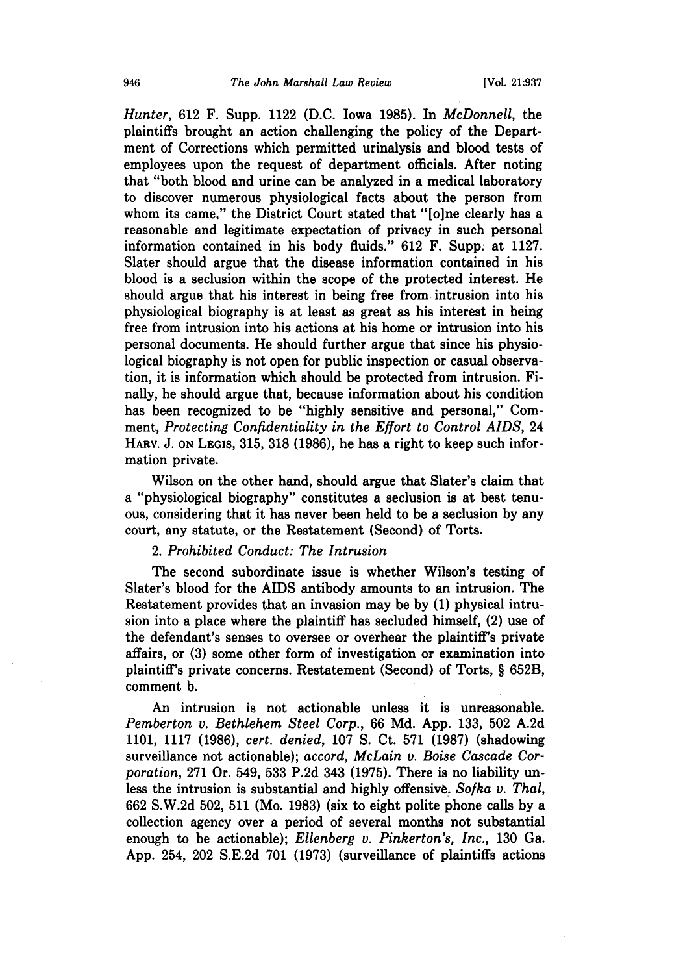*Hunter,* **612** F. Supp. 1122 **(D.C.** Iowa **1985).** In *McDonnell,* the plaintiffs brought an action challenging the policy of the Department of Corrections which permitted urinalysis and blood tests of employees upon the request of department officials. After noting that "both blood and urine can be analyzed in a medical laboratory to discover numerous physiological facts about the person from whom its came," the District Court stated that "[o]ne clearly has a reasonable and legitimate expectation of privacy in such personal information contained in his body fluids." 612 F. Supp. at 1127. Slater should argue that the disease information contained in his blood is a seclusion within the scope of the protected interest. He should argue that his interest in being free from intrusion into his physiological biography is at least as great as his interest in being free from intrusion into his actions at his home or intrusion into his personal documents. He should further argue that since his physiological biography is not open for public inspection or casual observation, it is information which should be protected from intrusion. Finally, he should argue that, because information about his condition has been recognized to be "highly sensitive and personal," Comment, *Protecting Confidentiality in the Effort to Control AIDS,* 24 HARV. **J. ON** LEGIS, 315, 318 (1986), he has a right to keep such information private.

Wilson on the other hand, should argue that Slater's claim that a "physiological biography" constitutes a seclusion is at best tenuous, considering that it has never been held to be a seclusion by any court, any statute, or the Restatement (Second) of Torts.

#### 2. *Prohibited Conduct: The Intrusion*

The second subordinate issue is whether Wilson's testing of Slater's blood for the AIDS antibody amounts to an intrusion. The Restatement provides that an invasion may be by (1) physical intrusion into a place where the plaintiff has secluded himself, (2) use of the defendant's senses to oversee or overhear the plaintiff's private affairs, or (3) some other form of investigation or examination into plaintiff's private concerns. Restatement (Second) of Torts, § 652B, comment b.

An intrusion is not actionable unless it is unreasonable. *Pemberton v. Bethlehem Steel Corp.,* 66 Md. App. 133, 502 A.2d 1101, 1117 (1986), *cert. denied,* 107 **S.** Ct. 571 (1987) (shadowing surveillance not actionable); *accord, McLain v. Boise Cascade Corporation,* 271 Or. 549, 533 P.2d 343 (1975). There is no liability unless the intrusion is substantial and highly offensive. *Sofka v. Thal,* 662 S.W.2d 502, 511 (Mo. 1983) (six to eight polite phone calls by a collection agency over a period of several months not substantial enough to be actionable); *Ellenberg v. Pinkerton's, Inc.,* 130 Ga. App. 254, 202 S.E.2d 701 (1973) (surveillance of plaintiffs actions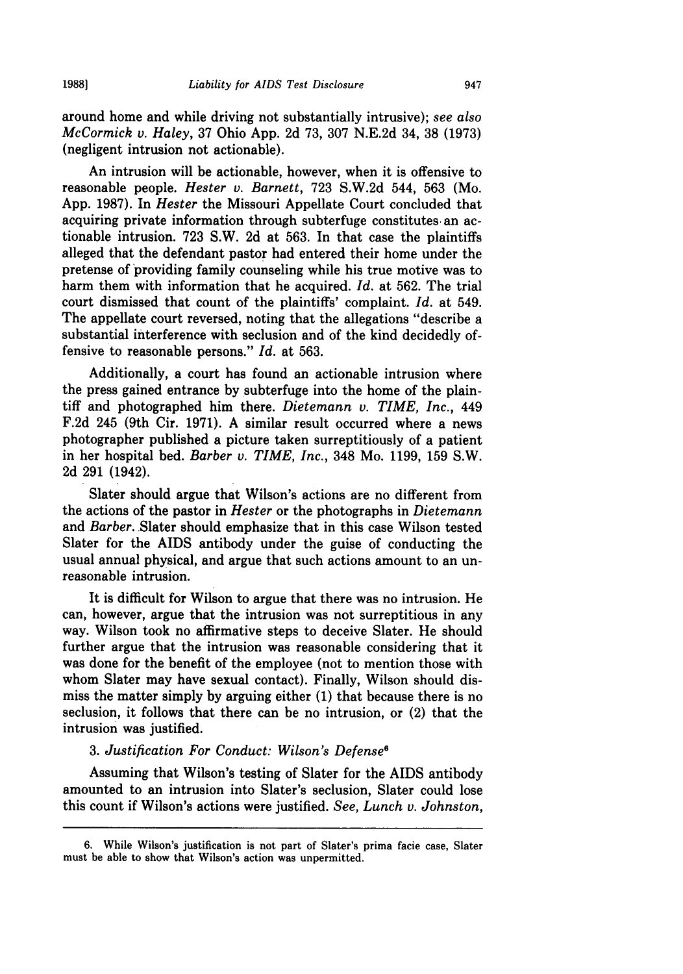around home and while driving not substantially intrusive); *see also McCormick v. Haley,* **37** Ohio **App. 2d 73, 307 N.E.2d** 34, **38 (1973)** (negligent intrusion not actionable).

An intrusion will be actionable, however, when it is offensive to reasonable people. *Hester v. Barnett,* **723 S.W.2d** 544, **563** (Mo. **App. 1987).** In *Hester* the Missouri Appellate Court concluded that acquiring private information through subterfuge constitutes an actionable intrusion. **723** S.W. **2d** at **563.** In that case the plaintiffs alleged that the defendant pastor had entered their home under the pretense of providing family counseling while his true motive was to harm them with information that he acquired. *Id.* at **562.** The trial court dismissed that count of the plaintiffs' complaint. *Id.* at 549. The appellate court reversed, noting that the allegations "describe a substantial interference with seclusion and of the kind decidedly offensive to reasonable persons." *Id.* at **563.**

Additionally, a court has found an actionable intrusion where the press gained entrance by subterfuge into the home of the plaintiff and photographed him there. *Dietemann v. TIME, Inc.,* 449 **F.2d** 245 (9th Cir. **1971). A** similar result occurred where a news photographer published a picture taken surreptitiously of a patient in her hospital bed. *Barber v. TIME, Inc.,* 348 Mo. **1199, 159** S.W. **2d 291** (1942).

Slater should argue that Wilson's actions are no different from the actions of the pastor in *Hester* or the photographs in *Dietemann* and *Barber.* Slater should emphasize that in this case Wilson tested Slater for the AIDS antibody under the guise of conducting the usual annual physical, and argue that such actions amount to an unreasonable intrusion.

It is difficult for Wilson to argue that there was no intrusion. He can, however, argue that the intrusion was not surreptitious in any way. Wilson took no affirmative steps to deceive Slater. He should further argue that the intrusion was reasonable considering that it was done for the benefit of the employee (not to mention those with whom Slater may have sexual contact). Finally, Wilson should dismiss the matter simply **by** arguing either **(1)** that because there is no seclusion, it follows that there can be no intrusion, or (2) that the intrusion was justified.

#### *3. Justification For Conduct: Wilson's Defense6*

Assuming that Wilson's testing of Slater for the AIDS antibody amounted to an intrusion into Slater's seclusion, Slater could lose this count if Wilson's actions were justified. *See, Lunch v. Johnston,*

<sup>6.</sup> While Wilson's justification is not part of Slater's prima facie case, Slater must be able to show that Wilson's action was unpermitted.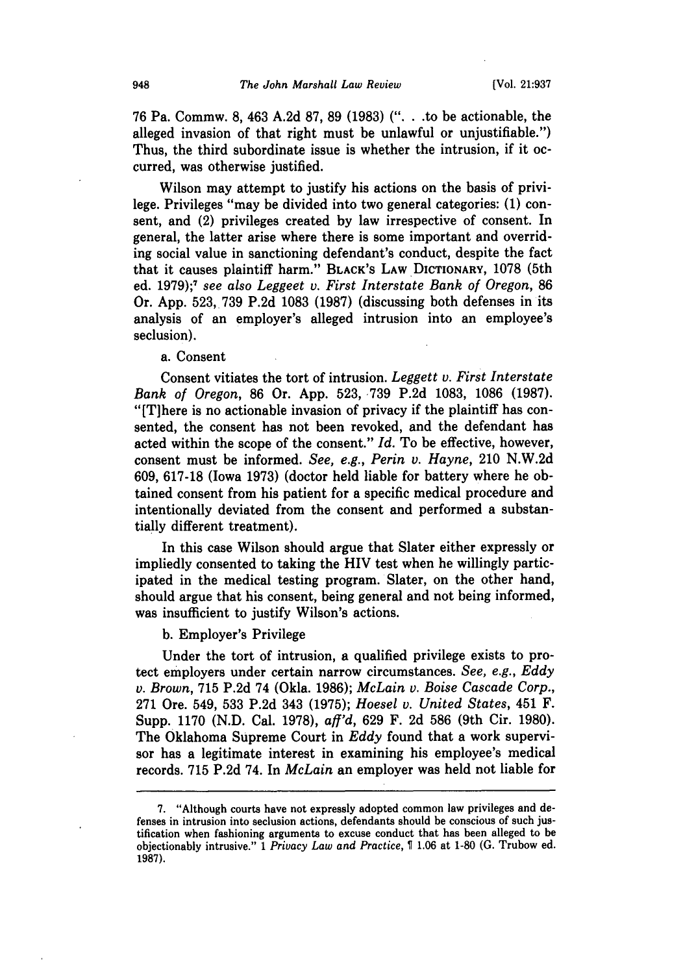76 Pa. Commw. 8, 463 A.2d 87, 89 (1983) (". **.** .to be actionable, the alleged invasion of that right must be unlawful or unjustifiable.") Thus, the third subordinate issue is whether the intrusion, if it occurred, was otherwise justified.

Wilson may attempt to justify his actions on the basis of privilege. Privileges "may be divided into two general categories: **(1)** consent, and (2) privileges created by law irrespective of consent. In general, the latter arise where there is some important and overriding social value in sanctioning defendant's conduct, despite the fact that it causes plaintiff harm." BLACK'S LAW **DICTIONARY,** 1078 (5th ed. 1979);7 *see also Leggeet v. First Interstate Bank of Oregon,* 86 Or. App. 523, 739 P.2d 1083 (1987) (discussing both defenses in its analysis of an employer's alleged intrusion into an employee's seclusion).

a. Consent

Consent vitiates the tort of intrusion. *Leggett v. First Interstate Bank of Oregon,* 86 Or. App. 523, 739 P.2d 1083, 1086 (1987). "[T]here is no actionable invasion of privacy if the plaintiff has consented, the consent has not been revoked, and the defendant has acted within the scope of the consent." *Id.* To be effective, however, consent must be informed. *See, e.g., Perin v. Hayne,* 210 N.W.2d 609, 617-18 (Iowa 1973) (doctor held liable for battery where he obtained consent from his patient for a specific medical procedure and intentionally deviated from the consent and performed a substantially different treatment).

In this case Wilson should argue that Slater either expressly or impliedly consented to taking the HIV test when he willingly participated in the medical testing program. Slater, on the other hand, should argue that his consent, being general and not being informed, was insufficient to justify Wilson's actions.

b. Employer's Privilege

Under the tort of intrusion, a qualified privilege exists to protect employers under certain narrow circumstances. *See, e.g., Eddy v. Brown,* 715 P.2d 74 (Okla. 1986); *McLain v. Boise Cascade Corp.,* 271 Ore. 549, 533 P.2d 343 (1975); *Hoesel v. United States,* 451 F. Supp. 1170 (N.D. Cal. 1978), *aff'd,* 629 F. 2d 586 (9th Cir. 1980). The Oklahoma Supreme Court in *Eddy* found that a work supervisor has a legitimate interest in examining his employee's medical records. 715 P.2d 74. In *McLain* an employer was held not liable for

<sup>7. &</sup>quot;Although courts have not expressly adopted common law privileges and defenses in intrusion into seclusion actions, defendants should be conscious of such justification when fashioning arguments to excuse conduct that has been alleged to be objectionably intrusive." 1 *Privacy Law and Practice,* T 1.06 at 1-80 (G. Trubow ed. 1987).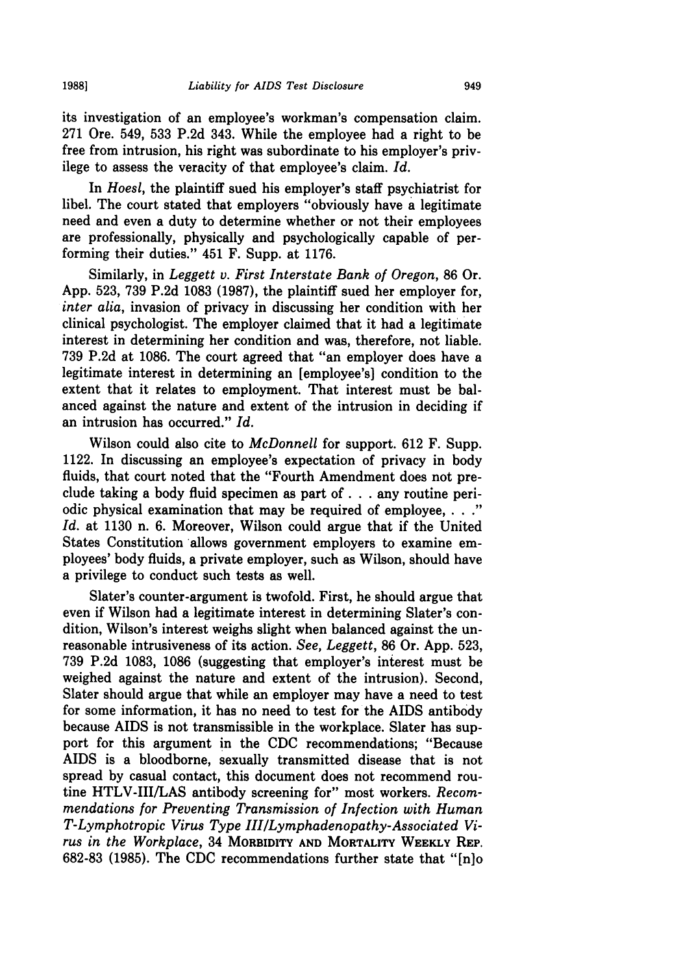its investigation of an employee's workman's compensation claim. **271** Ore. 549, **533 P.2d** 343. While the employee had a right to be free from intrusion, his right was subordinate to his employer's privilege to assess the veracity of that employee's claim. *Id.*

In *Hoes1,* the plaintiff sued his employer's staff psychiatrist for libel. The court stated that employers "obviously have a legitimate need and even a duty to determine whether or not their employees are professionally, physically and psychologically capable of performing their duties." 451 F. Supp. at **1176.**

Similarly, in *Leggett v. First Interstate Bank of Oregon,* **86** Or. **App. 523, 739 P.2d 1083 (1987),** the plaintiff sued her employer for, *inter alia,* invasion of privacy in discussing her condition with her clinical psychologist. The employer claimed that it had a legitimate interest in determining her condition and was, therefore, not liable. **739 P.2d** at **1086.** The court agreed that "an employer does have a legitimate interest in determining an [employee's] condition to the extent that it relates to employment. That interest must be balanced against the nature and extent of the intrusion in deciding if an intrusion has occurred." *Id.*

Wilson could also cite to *McDonnell* for support. **612** F. Supp. 1122. In discussing an employee's expectation of privacy in body fluids, that court noted that the "Fourth Amendment does not preclude taking a body fluid specimen as part **of. . .**any routine periodic physical examination that may be required of employee, **. . ."** *Id.* at **1130** n. **6.** Moreover, Wilson could argue that if the United States Constitution allows government employers to examine employees' body fluids, a private employer, such as Wilson, should have a privilege to conduct such tests as well.

Slater's counter-argument is twofold. First, he should argue that even if Wilson had a legitimate interest in determining Slater's condition, Wilson's interest weighs slight when balanced against the unreasonable intrusiveness of its action. *See, Leggett,* **86** Or. **App. 523, 739 P.2d 1083, 1086** (suggesting that employer's interest must be weighed against the nature and extent of the intrusion). Second, Slater should argue that while an employer may have a need to test for some information, it has no need to test for the AIDS antibody because AIDS is not transmissible in the workplace. Slater has support for this argument in the **CDC** recommendations; "Because AIDS is a bloodborne, sexually transmitted disease that is not spread **by** casual contact, this document does not recommend routine HTLV-III/LAS antibody screening for" most workers. *Recommendations for Preventing Transmission of Infection with Human T-Lymphotropic Virus Type III/Lymphadenopathy-Associated Virus in the Workplace,* 34 **MORBIDITY AND MORTALITY WEEKLY REP. 682-83 (1985).** The **CDC** recommendations further state that "[njo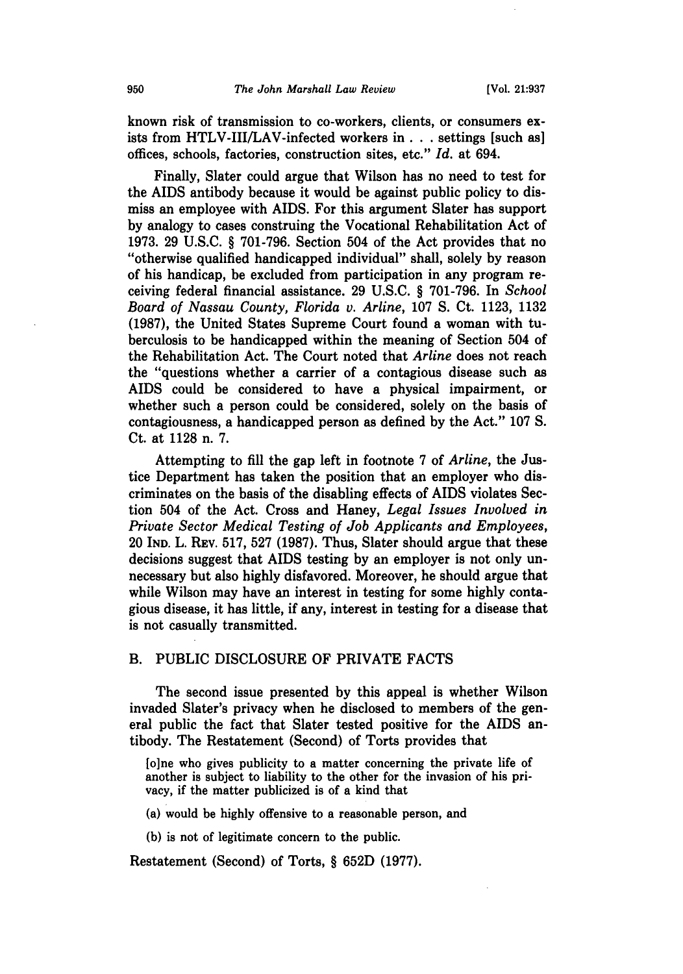known risk of transmission to co-workers, clients, or consumers exists from HTLV-III/LAV-infected workers **in. . .**settings [such as] offices, schools, factories, construction sites, etc." *Id.* at 694.

Finally, Slater could argue that Wilson has no need to test for the AIDS antibody because it would be against public policy to dismiss an employee with AIDS. For this argument Slater has support **by** analogy to cases construing the Vocational Rehabilitation Act of **1973. 29 U.S.C.** § **701-796.** Section 504 of the Act provides that no "otherwise qualified handicapped individual" shall, solely **by** reason of his handicap, be excluded from participation in any program receiving federal financial assistance. **29 U.S.C.** § **701-796.** In *School Board of Nassau County, Florida v. Arline,* **107 S.** Ct. **1123, 1132 (1987),** the United States Supreme Court found a woman with tuberculosis to be handicapped within the meaning of Section 504 of the Rehabilitation Act. The Court noted that *Arline* does not reach the "questions whether a carrier of a contagious disease such as AIDS could be considered to have a physical impairment, or whether such a person could be considered, solely on the basis of contagiousness, a handicapped person as defined **by** the Act." **107 S.** Ct. at **1128** n. **7.**

Attempting to **fill** the gap left in footnote **7** of *Arline,* the Justice Department has taken the position that an employer who discriminates on the basis of the disabling effects of AIDS violates Section 504 of the Act. Cross and Haney, *Legal Issues Involved in Private Sector Medical Testing of Job Applicants and Employees,* 20 **IND.** L. REV. **517, 527 (1987).** Thus, Slater should argue that these decisions suggest that AIDS testing **by** an employer is not only unnecessary but also **highly** disfavored. Moreover, he should argue that while Wilson may have an interest in testing for some **highly** contagious disease, it has little, if any, interest in testing for a disease that is not casually transmitted.

## B. PUBLIC DISCLOSURE OF PRIVATE **FACTS**

The second issue presented **by** this appeal is whether Wilson invaded Slater's privacy when he disclosed to members of the general public the fact that Slater tested positive for the **AIDS** antibody. The Restatement (Second) of Torts provides that

**[o]ne** who gives publicity to a matter concerning the private life of another is subject to liability to the other for the invasion of his privacy, if the matter publicized is of a kind that

(a) would be **highly** offensive to a reasonable person, and

**(b)** is not of legitimate concern to the public.

Restatement (Second) of Torts, § **652D (1977).**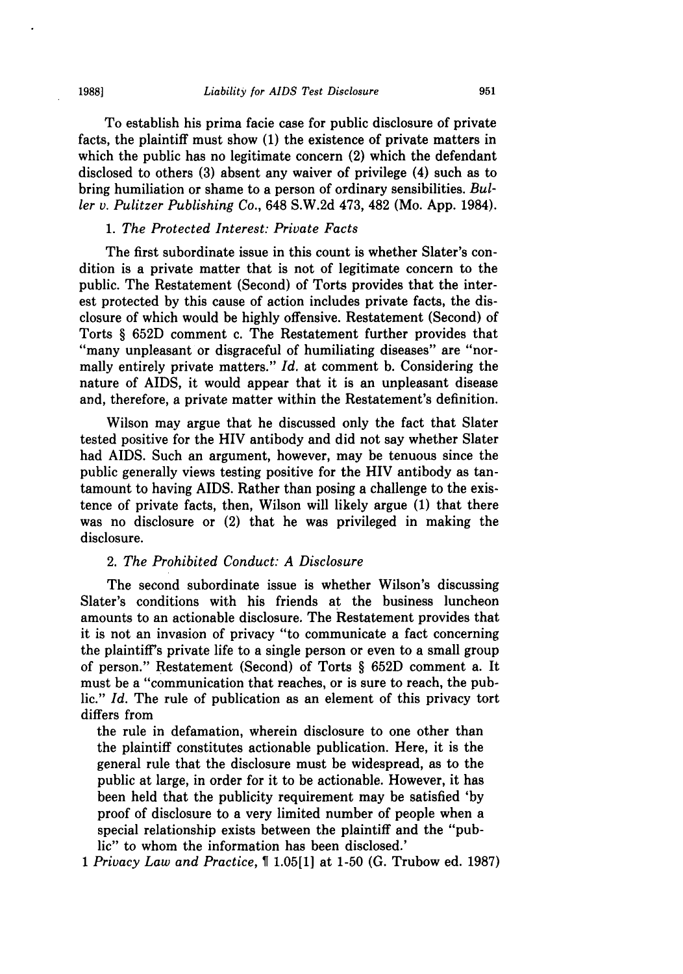**1988]**

To establish his prima facie case for public disclosure of private facts, the plaintiff must show **(1)** the existence of private matters in which the public has no legitimate concern (2) which the defendant disclosed to others **(3)** absent any waiver of privilege (4) such as to bring humiliation or shame to a person of ordinary sensibilities. *Buller v. Pulitzer Publishing Co.,* 648 **S.W.2d** 473, 482 (Mo. **App.** 1984).

#### *1. The Protected Interest: Private Facts*

The first subordinate issue in this count is whether Slater's condition is a private matter that is not of legitimate concern to the public. The Restatement (Second) of Torts provides that the interest protected **by** this cause of action includes private facts, the disclosure of which would be **highly** offensive. Restatement (Second) of Torts § **652D** comment c. The Restatement further provides that ''many unpleasant or disgraceful of humiliating diseases" are "normally entirely private matters." *Id.* at comment **b.** Considering the nature of AIDS, it would appear that it is an unpleasant disease and, therefore, a private matter within the Restatement's definition.

Wilson may argue that he discussed only the fact that Slater tested positive for the HIV antibody and did not say whether Slater had **AIDS.** Such an argument, however, may be tenuous since the public generally views testing positive for the HIV antibody as tantamount to having **AIDS.** Rather than posing a challenge to the existence of private facts, then, Wilson will likely argue **(1)** that there was no disclosure or (2) that he was privileged in making the disclosure.

## 2. *The Prohibited Conduct: A Disclosure*

The second subordinate issue is whether Wilson's discussing Slater's conditions with his friends at the business luncheon amounts to an actionable disclosure. The Restatement provides that it is not an invasion of privacy "to communicate a fact concerning the plaintiff's private life to a single person or even to a small group of person." Restatement (Second) of Torts § **652D** comment a. It must be a "communication that reaches, or is sure to reach, the public." *Id.* The rule of publication as an element of this privacy tort differs from

the rule in defamation, wherein disclosure to one other than the plaintiff constitutes actionable publication. Here, it is the general rule that the disclosure must be widespread, as to the public at large, in order for it to be actionable. However, it has been held that the publicity requirement may be satisfied **'by** proof of disclosure to a very limited number of people when a special relationship exists between the plaintiff and the "public" to whom the information has been disclosed.'

*1 Privacy Law and Practice,* **1.05[1]** at **1-50 (G.** Trubow ed. **1987)**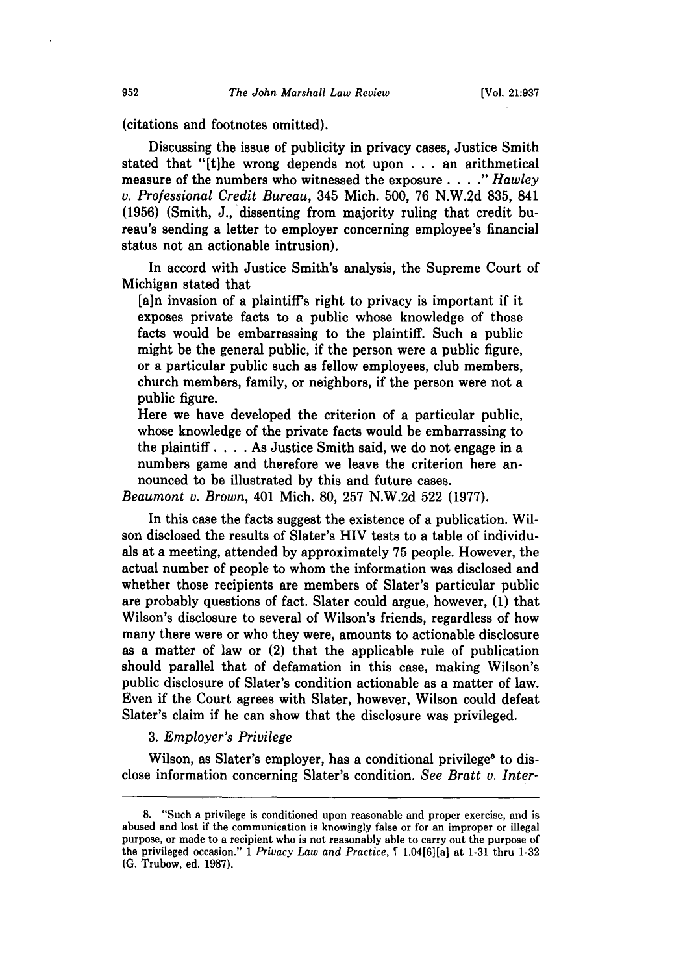(citations and footnotes omitted).

Discussing the issue of publicity in privacy cases, Justice Smith stated that "[t]he wrong depends not upon . .. an arithmetical measure of the numbers who witnessed the exposure . **. . ."** *Hawley* v. *Professional Credit* Bureau, 345 Mich. 500, 76 N.W.2d 835, 841 (1956) (Smith, J., dissenting from majority ruling that credit bureau's sending a letter to employer concerning employee's financial status not an actionable intrusion).

In accord with Justice Smith's analysis, the Supreme Court of Michigan stated that

[a]n invasion of a plaintiff's right to privacy is important if it exposes private facts to a public whose knowledge of those facts would be embarrassing to the plaintiff. Such a public might be the general public, if the person were a public figure, or a particular public such as fellow employees, club members, church members, family, or neighbors, if the person were not a public figure.

Here we have developed the criterion of a particular public, whose knowledge of the private facts would be embarrassing to the plaintiff. . **.** .As Justice Smith said, we do not engage in a numbers game and therefore we leave the criterion here announced to be illustrated by this and future cases.

*Beaumont v. Brown,* 401 Mich. 80, 257 N.W.2d 522 (1977).

In this case the facts suggest the existence of a publication. Wilson disclosed the results of Slater's HIV tests to a table of individuals at a meeting, attended by approximately 75 people. However, the actual number of people to whom the information was disclosed and whether those recipients are members of Slater's particular public are probably questions of fact. Slater could argue, however, (1) that Wilson's disclosure to several of Wilson's friends, regardless of how many there were or who they were, amounts to actionable disclosure as a matter of law or (2) that the applicable rule of publication should parallel that of defamation in this case, making Wilson's public disclosure of Slater's condition actionable as a matter of law. Even if the Court agrees with Slater, however, Wilson could defeat Slater's claim if he can show that the disclosure was privileged.

#### *3. Employer's Privilege*

Wilson, as Slater's employer, has a conditional privilege<sup>8</sup> to disclose information concerning Slater's condition. *See Bratt v. Inter-*

**<sup>8.</sup>** "Such a privilege is conditioned upon reasonable and proper exercise, and is abused and lost if the communication is knowingly false or for an improper or illegal purpose, or made to a recipient who is not reasonably able to carry out the purpose of the privileged occasion." 1 *Privacy Law and Practice,* 1.04[61[a] at 1-31 thru 1-32 **(G.** Trubow, ed. 1987).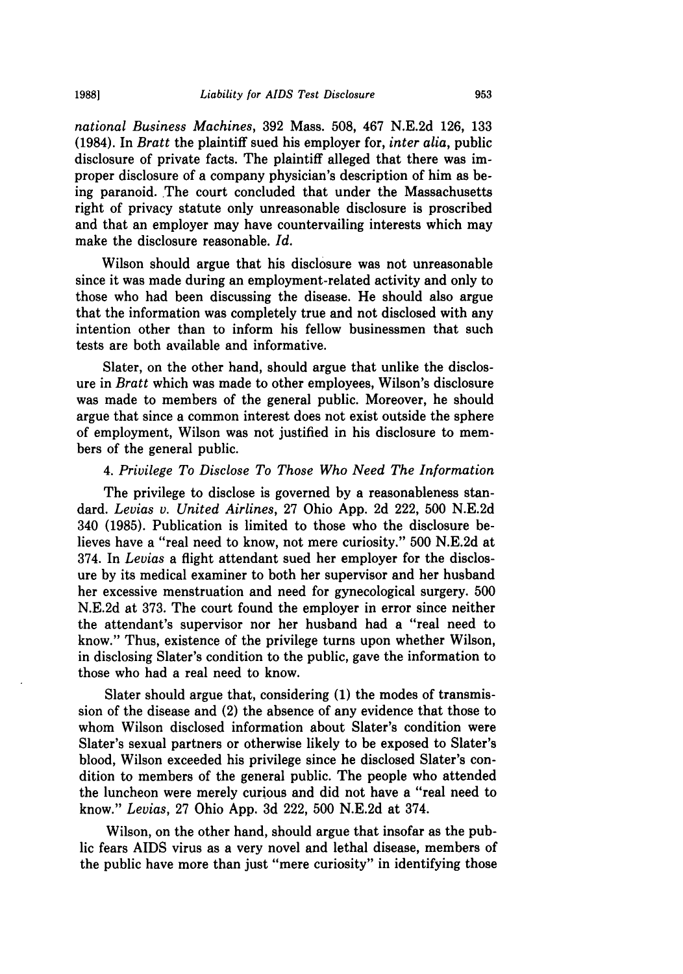*national Business Machines,* 392 Mass. 508, 467 N.E.2d 126, 133 (1984). In *Bratt* the plaintiff sued his employer for, *inter alia,* public disclosure of private facts. The plaintiff alleged that there was improper disclosure of a company physician's description of him as being paranoid. The court concluded that under the Massachusetts right of privacy statute only unreasonable disclosure is proscribed and that an employer may have countervailing interests which may make the disclosure reasonable. *Id.*

Wilson should argue that his disclosure was not unreasonable since it was made during an employment-related activity and only to those who had been discussing the disease. He should also argue that the information was completely true and not disclosed with any intention other than to inform his fellow businessmen that such tests are both available and informative.

Slater, on the other hand, should argue that unlike the disclosure in *Bratt* which was made to other employees, Wilson's disclosure was made to members of the general public. Moreover, he should argue that since a common interest does not exist outside the sphere of employment, Wilson was not justified in his disclosure to members of the general public.

#### *4. Privilege To Disclose To Those Who Need The Information*

The privilege to disclose is governed by a reasonableness standard. *Levias v. United Airlines,* 27 Ohio App. 2d 222, 500 N.E.2d 340 (1985). Publication is limited to those who the disclosure believes have a "real need to know, not mere curiosity." 500 N.E.2d at 374. In *Levias* a flight attendant sued her employer for the disclosure by its medical examiner to both her supervisor and her husband her excessive menstruation and need for gynecological surgery. 500 N.E.2d at 373. The court found the employer in error since neither the attendant's supervisor nor her husband had a "real need to know." Thus, existence of the privilege turns upon whether Wilson, in disclosing Slater's condition to the public, gave the information to those who had a real need to know.

Slater should argue that, considering (1) the modes of transmission of the disease and (2) the absence of any evidence that those to whom Wilson disclosed information about Slater's condition were Slater's sexual partners or otherwise likely to be exposed to Slater's blood, Wilson exceeded his privilege since he disclosed Slater's condition to members of the general public. The people who attended the luncheon were merely curious and did not have a "real need to know." *Levias,* 27 Ohio App. 3d 222, 500 N.E.2d at 374.

Wilson, on the other hand, should argue that insofar as the public fears AIDS virus as a very novel and lethal disease, members of the public have more than just "mere curiosity" in identifying those